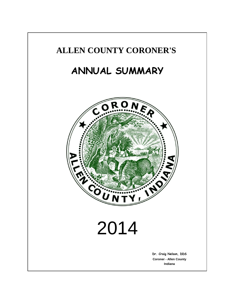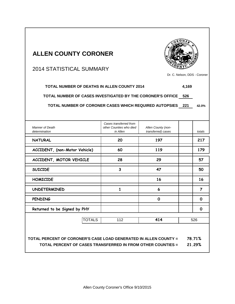| 2014 STATISTICAL SUMMARY                |               |                                                                   |                                          |                              |        |
|-----------------------------------------|---------------|-------------------------------------------------------------------|------------------------------------------|------------------------------|--------|
|                                         |               |                                                                   |                                          | Dr. C. Nelson, DDS - Coroner |        |
|                                         |               | <b>TOTAL NUMBER OF DEATHS IN ALLEN COUNTY 2014</b>                |                                          | 4,169                        |        |
|                                         |               | TOTAL NUMBER OF CASES INVESTIGATED BY THE CORONER'S OFFICE 526    |                                          |                              |        |
|                                         |               | <b>TOTAL NUMBER OF CORONER CASES WHICH REQUIRED AUTOPSIES 221</b> |                                          |                              | 42.0%  |
|                                         |               |                                                                   |                                          |                              |        |
|                                         |               | Cases transferred from                                            |                                          |                              |        |
| <b>Manner of Death</b><br>determination |               | other Counties who died<br>in Allen                               | Allen County (non-<br>transferred) cases |                              | totals |
| <b>NATURAL</b>                          |               | 20                                                                | 197                                      |                              | 217    |
| ACCIDENT, (non-Motor Vehicle)           |               | 60                                                                | 119                                      |                              | 179    |
| ACCIDENT, MOTOR VEHICLE                 |               | 28                                                                | 29                                       |                              | 57     |
| <b>SUICIDE</b>                          |               | 3                                                                 | 47                                       |                              | 50     |
| <b>HOMICIDE</b>                         |               |                                                                   | 16                                       |                              | 16     |
| <b>UNDETERMINED</b>                     |               | 1                                                                 | 6                                        |                              | 7      |
| <b>PENDING</b>                          |               |                                                                   | 0                                        |                              | 0      |
| Returned to be Signed by PHY            |               |                                                                   |                                          |                              | 0      |
|                                         | <b>TOTALS</b> | 112                                                               | 414                                      | 526                          |        |
|                                         |               |                                                                   |                                          |                              |        |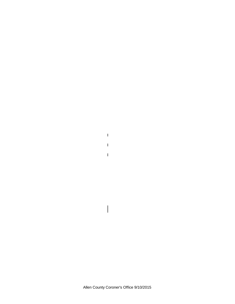Allen County Coroner's Office 9/10/2015

 $\mathbf I$ 

 $\mathbf{I}$ 

 $\mathbf{I}$ 

 $\begin{array}{c} \hline \end{array}$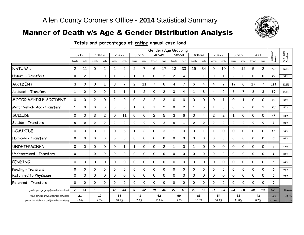## Manner of Death v/s Age & Gender Distribution Analysis



**Totals and percentages of entire annual case load**

|                                                  |                |                |                |                |                |                |                |                |                |                | Gender / Age Grouping |                |          |              |                |                |                |                |             |                |                                |                         |
|--------------------------------------------------|----------------|----------------|----------------|----------------|----------------|----------------|----------------|----------------|----------------|----------------|-----------------------|----------------|----------|--------------|----------------|----------------|----------------|----------------|-------------|----------------|--------------------------------|-------------------------|
|                                                  | 0 > 12         |                | 13 > 19        |                | 20 > 29        |                |                | 30 > 39        |                | 40 > 49        | 50 > 59               |                | 60 > 69  |              | 70 > 79        |                | 80>89          |                |             | $90 +$         | Total Cases /<br><b>Manner</b> | % oF Total<br>Case Load |
|                                                  | female         | male           | female         | male           | female         | male           | female         | male           | female         | male           | female                | male           | female   | male         | female         | male           | female         | male           | female      | male           |                                |                         |
| NATURAL                                          | $\overline{2}$ | 11             | 0              | $\overline{2}$ | $\overline{2}$ | $\overline{2}$ | $\overline{2}$ | $\overline{7}$ | 6              | 17             | 13                    | 33             | 19       | 34           | 9              | 10             | 9              | 12             | 5           | $\overline{2}$ | 197                            | 37.5%                   |
| Natural - Transfers                              | 0              | $\overline{2}$ | 1              | 0              | -1             | $\overline{2}$ |                | 0              | 0              | $\overline{c}$ | $\overline{2}$        | 4              | 1        | $\mathbf 1$  | 0              | 1              | $\overline{2}$ | 0              | 0           | 0              | 20                             | 3.8%                    |
| <b>ACCIDENT</b>                                  | 3              | 0              | $\mathbf 0$    |                | 3              | $\overline{7}$ | $\overline{2}$ | 11             | $\overline{7}$ | 6              | 4                     | $\overline{7}$ | 6        | 4            | 4              | $\overline{7}$ | 17             | 6              | 17          | $\overline{7}$ | 119                            | 22.6%                   |
| Accident - Transfers                             | 1              | $\mathbf 0$    | 0              | $\Omega$       | -1             | 1              |                | $\overline{2}$ | 0              | $\overline{c}$ | 3                     | 4              |          | 8            | 4              | 9              | 5              | $\overline{7}$ | 8           | 3              | 60                             | 11.4%                   |
| <b>MOTOR VEHICLE ACCIDENT</b>                    | $\mathbf 0$    | 0              | $\overline{2}$ | $\mathbf 0$    | $\overline{2}$ | 9              | 0              | 3              | $\overline{2}$ | 3              | 0                     | 6              | $\Omega$ | $\mathbf 0$  | 0              | 1              | $\mathbf 0$    | 1              | $\mathbf 0$ | $\Omega$       | 29                             | 5.5%                    |
| Motor Vehicle Acc -Transfers                     | $\mathbf 1$    | $\mathbf 0$    | 0              | 0              | 3              | 5              |                | $\mathbf 0$    |                | $\overline{c}$ | 0                     | $\overline{2}$ |          | 5            |                | 3              | $\mathbf 0$    | 2              | 0           | 1              | 28                             | 5.3%                    |
| SUICIDE                                          | $\mathbf 0$    | 0              | 3              | $\overline{2}$ | 0              | 11             | 0              | 6              | $\overline{2}$ | 5              | 3                     | 6              | $\Omega$ | 4            | $\overline{2}$ | $\overline{2}$ | 1              | 0              | 0           | 0              | 47                             | 8.9%                    |
| Suicide - Transfers                              | 0              | 0              | 0              | $\mathbf{0}$   | 0              | $\mathbf 0$    | 0              | $\mathbf 0$    | $\mathbf 0$    | 2              | 0                     | -1             | $\Omega$ | $\mathbf 0$  | 0              | 0              | 0              | 0              | 0           | 0              | 3                              | 0.6%                    |
| <b>HOMICIDE</b>                                  | $\mathbf 0$    | 0              | $\mathbf 0$    |                | 0              | 5              |                | 3              | 0              | 3              | 1                     | $\mathbf 0$    | 0        | $\mathbf{1}$ |                | $\mathbf 0$    | $\mathbf 0$    | 0              | 0           | $\Omega$       | 16                             | 3.0%                    |
| Homicide - Transfers                             | 0              | 0              | $\mathbf 0$    | 0              | $\Omega$       | $\mathbf 0$    | 0              | $\mathbf 0$    | $\mathbf 0$    | $\mathbf 0$    | 0                     | 0              | $\Omega$ | $\mathbf 0$  | 0              | $\mathbf 0$    | $\mathbf 0$    | 0              | $\Omega$    | 0              | 0                              | 0.0%                    |
| UNDETERMINED                                     | $\mathbf 0$    | 0              | $\mathbf 0$    | 0              | $\mathbf 0$    | 1              |                | 0              | 0              | $\overline{2}$ | 1                     | $\mathbf 0$    | 1        | $\mathbf 0$  | 0              | 0              | $\mathbf 0$    | 0              | 0           | 0              | 6                              | 1.1%                    |
| Undetermined - Transfers                         | 0              | $\mathbf 1$    | $\Omega$       | $\Omega$       | $\Omega$       | $\mathbf 0$    | $\Omega$       | $\mathbf 0$    | 0              | $\mathbf 0$    | 0                     | $\mathbf 0$    | $\Omega$ | $\mathbf 0$  | $\mathbf 0$    | $\mathbf 0$    | $\mathbf 0$    | $\mathbf 0$    | $\Omega$    | 0              | 1                              | 0.2%                    |
| PENDING                                          | $\mathbf 0$    | 0              | $\mathbf 0$    | $\Omega$       | 0              | $\mathbf 0$    | $\Omega$       | $\Omega$       | $\Omega$       | $\Omega$       | $\mathbf 0$           | $\mathbf 0$    | $\Omega$ | $\mathbf 0$  | 0              | $\mathbf 0$    | $\mathbf 0$    | $\Omega$       | $\mathbf 0$ | 0              | 0                              | 0.0%                    |
| Pending - Transfers                              | 0              | 0              | $\mathbf 0$    | 0              | 0              | $\mathbf 0$    | 0              | 0              | 0              | $\mathbf 0$    | 0                     | 0              | 0        | $\mathbf 0$  | 0              | $\mathbf 0$    | $\mathbf 0$    | 0              | 0           | 0              | 0                              | 0.0%                    |
| Returned to Physician                            | $\Omega$       | 0              | 0              | 0              | 0              | $\mathbf 0$    | 0              | $\mathbf 0$    | 0              | $\mathbf 0$    | $\mathbf 0$           | $\mathbf 0$    | 0        | $\mathbf 0$  | 0              | $\mathbf 0$    | $\mathbf 0$    | 0              | 0           | 0              | 0                              | 0.0%                    |
| Returned - Transfers                             | $\Omega$       | $\Omega$       | 0              | 0              | $\Omega$       | $\Omega$       | $\Omega$       | $\Omega$       | $\Omega$       | $\mathbf{0}$   | $\Omega$              | $\Omega$       | $\Omega$ | $\Omega$     | $\Omega$       | $\Omega$       | $\Omega$       | $\Omega$       | $\Omega$    | 0              | 0                              |                         |
| gender per age group (includes transfers):       | $\overline{7}$ | 14             | 6              | 6              | 12             | 43             | 9              | 32             | 18             | 44             | 27                    | 63             | 29       | 57           | 21             | 33             | 34             | 28             | 30          | 13             | 526                            | 100.0%                  |
| totals per age group, (includes transfers)       | 21             |                | 12             |                | 55             |                |                | 41             |                | 62             | 90                    |                | 86       |              | 54             |                | 62             |                |             | 43             | 526                            | 78.7%                   |
| percent of total case load (includes transfers): |                | 4.0%           | 2.3%           |                | 10.5%          |                |                | 7.8%           |                | 11.8%          | 17.1%                 |                | 16.3%    |              |                | 10.3%          | 11.8%          |                | 8.2%        |                | 100.00%                        | 21.3%                   |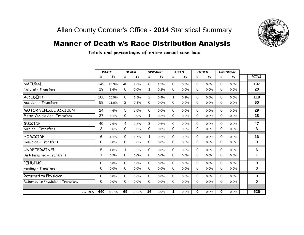

# Manner of Death v/s Race Distribution Analysis

**Totals and percentages of entire annual case load**

|                                   |     | <b>WHITE</b> |          | <b>BLACK</b> |                | <b>HISPANIC</b> |             | <b>ASIAN</b> |             | <b>OTHER</b> |          | <b>UNKNOWN</b> |               |
|-----------------------------------|-----|--------------|----------|--------------|----------------|-----------------|-------------|--------------|-------------|--------------|----------|----------------|---------------|
|                                   | #   | $\%$         | #        | %            | #              | %               | #           | %            | #           | $\%$         | #        | %              | <b>TOTALS</b> |
| <b>NATURAL</b>                    | 149 | 28.3%        | 40       | 7.6%         | 8              | 1.5%            | 0           | 0.0%         | 0           | 0.0%         | $\Omega$ | 0.0%           | 197           |
| Natural - Transfers               | 19  | 3.6%         | 0        | 0.0%         |                | 0.2%            | 0           | 0.0%         | 0           | 0.0%         | 0        | 0.0%           | 20            |
| <b>ACCIDENT</b>                   | 108 | 20.5%        | 8        | 1.5%         | $\overline{2}$ | 0.4%            | 1           | 0.2%         | 0           | 0.0%         | 0        | 0.0%           | 119           |
| Accident - Transfers              | 58  | 11.0%        | 2        | 0.4%         | 0              | 0.0%            | 0           | 0.0%         | 0           | 0.0%         | 0        | 0.0%           | 60            |
| MOTOR VEHICLE ACCIDENT            | 24  | 4.6%         | 5        | 1.0%         | 0              | 0.0%            | 0           | 0.0%         | 0           | 0.0%         | 0        | 0.0%           | 29            |
| Motor Vehicle Acc - Transfers     | 27  | 5.1%         | 0        | 0.0%         |                | 0.2%            | 0           | 0.0%         | 0           | 0.0%         | 0        | 0.0%           | 28            |
| SUICIDE                           | 40  | 7.6%         | 4        | 0.8%         | 3              | 0.6%            | 0           | 0.0%         | $\mathbf 0$ | 0.0%         | 0        | 0.0%           | 47            |
| Suicide - Transfers               | 3   | 0.6%         | 0        | 0.0%         | 0              | 0.0%            | 0           | 0.0%         | 0           | 0.0%         | 0        | 0.0%           | 3             |
| <b>HOMICIDE</b>                   | 6   | 1.1%         | 9        | 1.7%         |                | 0.2%            | 0           | 0.0%         | 0           | 0.0%         | 0        | 0.0%           | 16            |
| Homicide - Transfers              | 0   | 0.0%         | 0        | 0.0%         | 0              | 0.0%            | 0           | 0.0%         | 0           | 0.0%         | 0        | 0.0%           | 0             |
| UNDETERMINED                      | 5   | 1.0%         | 1        | 0.2%         | 0              | 0.0%            | 0           | 0.0%         | 0           | 0.0%         | 0        | 0.0%           | 6             |
| Undetermined - Transfers          |     | 0.2%         | 0        | 0.0%         | 0              | 0.0%            | 0           | 0.0%         | 0           | 0.0%         | 0        | 0.0%           |               |
| PENDING                           | 0   | 0.0%         | $\Omega$ | 0.0%         | 0              | 0.0%            | $\mathbf 0$ | 0.0%         | 0           | 0.0%         | $\Omega$ | 0.0%           | 0             |
| Pending - Transfers               | 0   | 0.0%         | 0        | 0.0%         | 0              | 0.0%            | 0           | 0.0%         | 0           | 0.0%         | 0        | 0.0%           | 0             |
| Returned to Physician             | 0   | 0.0%         | 0        | 0.0%         | 0              | 0.0%            | 0           | 0.0%         | 0           | 0.0%         | 0        | 0.0%           | 0             |
| Returned to Physician - Transfers | 0   | 0.0%         | 0        | 0.0%         | 0              | 0.0%            | 0           | 0.0%         | 0           | 0.0%         | 0        | 0.0%           | 0             |
|                                   |     |              |          |              |                |                 |             |              |             |              |          |                |               |
| <b>TOTALS</b>                     | 440 | 83.7%        | 69       | 13.1%        | 16             | 3.0%            | 1           | 0.2%         | $\mathbf 0$ | 0.0%         | 0        | 0.0%           | 526           |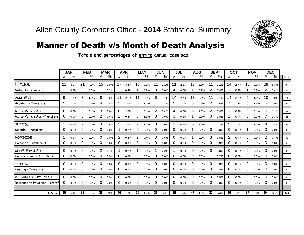

# Manner of Death v/s Month of Death Analysis

**Totals and percentages of entire annual caseload**

.

|                                |          | <b>JAN</b> |                | <b>FEB</b> |    | <b>MAR</b> |          | <b>APR</b> |          | <b>MAY</b> |          | <b>JUN</b> |          | <b>JUL</b> |          | <b>AUG</b> |          | <b>SEPT</b> |          | <b>OCT</b> |          | <b>NOV</b> |                | <b>DEC</b> |              |
|--------------------------------|----------|------------|----------------|------------|----|------------|----------|------------|----------|------------|----------|------------|----------|------------|----------|------------|----------|-------------|----------|------------|----------|------------|----------------|------------|--------------|
|                                | #        | %          | #              | ℅          | #  | %          | #        | ℅          | #        | $\%$       | #        | %          | #        | %          | #        | %          | #        | %           | #        | $\%$       | #        | %          | #              | %          | <b>TOTAL</b> |
| <b>NATURAL</b>                 | 21       | 4.0%       | 21             | 4.0%       | 15 | 2.9%       | 17       | 3.2%       | 16       | 3.0%       | 11       | 2.1%       | 11       | 2.1%       | 17       | 3.2%       | 11       | 2.1%        | 14       | 2.7%       | 15       | 2.9%       | 28             | 5.3%       | 197          |
| Natural - Transfers            | 2        | 0.4%       | 3              | 0.6%       |    | 0.2%       | 2        | 0.4%       |          | 0.2%       | 0        | 0.0%       | 4        | 0.8%       |          | 0.2%       | 2        | 0.4%        |          | 0.2%       |          | 0.2%       | 2              | 0.4%       | 20           |
| <b>ACCIDENT</b>                | 9        | 1.7%       |                | 1.3%       | 8  | 1.5%       | 11       | 2.1%       | 11       | 2.1%       | 6        | 1.1%       | 14       | 2.7%       | 13       | 2.5%       | 11       | 2.1%        | 14       | 2.7%       | 5        | 1.0%       | 10             | 1.9%       | 119          |
| Accident - Transfers           | 5        | 1.0%       | 3              | 0.6%       | 4  | 0.8%       | 5        | 1.0%       | 6        | 1.1%       |          | 1.3%       | 5        | 1.0%       | 3        | 0.6%       | 2        | 0.4%        | 7        | 1.3%       | 8        | 1.5%       | 5              | 1.0%       | 60           |
| Motor Vehicle Acc              | 0        | 0.0%       | 2              | 0.4%       | 3  | 0.6%       | $\Omega$ | 2.0%       | 2        | 0.4%       | 2        | 0.4%       | 4        | 0.8%       | 5.       | 1.0%       | 2        | 0.4%        |          | 0.2%       | 2        | 0.4%       | 6              | 1.1%       | 29           |
| Motor Vehicle Acc - Transfers  | 0        | 0.0%       | 0              | 0.0%       | 2  | 0.4%       | 2        | 0.4%       | 8        | 1.5%       | 3        | 0.6%       | 3        | 0.6%       |          | 0.2%       | 0        | 0.0%        | 2        | 0.4%       | 0        | 0.0%       |                | 1.3%       | 28           |
| SUICIDE                        | 2        | 0.4%       | $\overline{2}$ | 0.4%       | 3  | 0.6%       | 5        | 1.0%       | 9        | 1.7%       | 3        | 0.6%       | 3        | 0.6%       | 5        | 1.0%       |          | 0.2%        | 5        | 1.0%       | 5        | 1.0%       | 4              | 0.8%       | 47           |
| Suicide - Transfers            | 0        | 0.0%       | $\Omega$       | 0.0%       | 0  | 0.0%       |          | 0.2%       | 0        | 0.0%       | $\Omega$ | 0.0%       | $\Omega$ | 0.0%       |          | 0.2%       | 0        | 0.0%        | 0        | 0.0%       |          | 0.2%       | 0              | 0.0%       | 3            |
| <b>HOMICIDE</b>                |          | 0.2%       | 0              | 0.0%       | 0  | 0.0%       | 2        | 0.4%       | 2        | 0.4%       | 3        | 0.6%       | 0        | 0.0%       |          | 0.2%       | 3        | 0.6%        | 2        | 0.4%       | 0        | 0.0%       | $\overline{2}$ | 0.4%       | 16           |
| Homicide - Transfers           | 0        | 0.0%       | $\Omega$       | 0.0%       | 0  | 0.0%       | 0        | 0.0%       | 0        | 0.0%       | $\Omega$ | 0.0%       | 0        | 0.0%       | 0        | 0.0%       | 0        | 0.0%        | 0        | 0.0%       | 0        | 0.0%       | 0              | 0.0%       | $\mathbf{0}$ |
| <b>UNDETERMINED</b>            | 0        | 0.0%       | 0              | 0.0%       | 2  | 0.4%       |          | 0.2%       |          | 0.2%       |          | 0.2%       |          | 0.2%       | $\Omega$ | 0.0%       | $\Omega$ | 0.0%        | $\Omega$ | 0.0%       | $\Omega$ | 0.0%       | 0              | 0.0%       | 6            |
| Undetermined - Transfers       |          | 0.0%       |                | 0.0%       | 0  | 0.0%       | 0        | 0.0%       | 0        | 0.0%       |          | 0.0%       | 0        | 0.0%       | 0        | 0.0%       |          | 0.2%        | 0        | 0.0%       | 0        | 0.0%       |                | 0.0%       |              |
| PENDING                        | 0        | 0.0%       | 0              | 0.0%       | 0  | 0.0%       | 0        | 0.0%       | 0        | 0.0%       | 0        | 0.0%       | 0        | 0.0%       | 0        | 0.0%       | 0        | 0.0%        | 0        | 0.0%       | 0        | 0.0%       | 0              | 0.0%       | 0            |
| Pending - Transfers            | 0        | 0.0%       | $\Omega$       | 0.0%       | 0  | 0.0%       | 0        | 0.0%       | 0        | 0.0%       | $\Omega$ | 0.0%       | 0        | 0.0%       | 0        | 0.0%       | 0        | 0.0%        | 0        | 0.0%       | 0        | 0.0%       |                | 0.0%       | $\mathbf{0}$ |
| <b>RETURN TO PHYSICIAN</b>     | 0        | 0.0%       | $\Omega$       | 0.0%       | 0  | 0.0%       | $\Omega$ | 0.0%       | $\Omega$ | 0.0%       | 0        | 0.0%       | 0        | 0.0%       | 0        | 0.0%       | 0        | 0.0%        | 0        | 0.0%       | 0        | 0.0%       | 0              | 0.0%       | $\mathbf{0}$ |
| Returned to Physician - Transf | $\Omega$ | 0.0%       | 0              | 0.0%       | 0  | 0.0%       | 0        | 0.0%       | 0        | 0.0%       | 0        | 0.0%       | $\Omega$ | 0.0%       | 0        | 0.0%       | 0        | 0.0%        | 0        | 0.0%       | 0        | 0.0%       | 0              | 0.0%       | $\mathbf{0}$ |
|                                |          |            |                |            |    |            |          |            |          |            |          |            |          |            |          |            |          |             |          |            |          |            |                |            |              |
| <b>TOTALS</b>                  | 40       | 7.6%       | 38             | 7.2%       | 38 | 7.2%       | 46       | 8.7%       | 56       | 10.6%      | 36       | 6.8%       | 45       | 8.6%       | 47       | 8.9%       | 33       | 6.3%        | 46       | 8.7%       | 37       | 7.0%       | 64             | 12.2%      | 526          |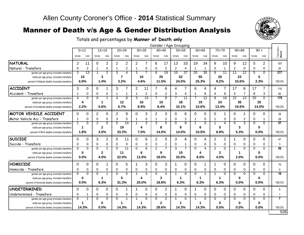# Manner of Death v/s Age & Gender Distribution Analysis



Totals and percentages by **Manner of Death only**

|                                                                                                                                            |                                    |                                   |                                   |                      |                            | Gender / Age Grouping                |                         |                                                 |                                      |                                               |                        |
|--------------------------------------------------------------------------------------------------------------------------------------------|------------------------------------|-----------------------------------|-----------------------------------|----------------------|----------------------------|--------------------------------------|-------------------------|-------------------------------------------------|--------------------------------------|-----------------------------------------------|------------------------|
|                                                                                                                                            | 0 > 12                             | 13 > 19                           | 20 > 29                           | 30 > 39              | 40 > 49                    | 50 > 59                              | 60 > 69                 | 70 > 79                                         | 80>89                                | $90 +$                                        |                        |
|                                                                                                                                            | female<br>male                     | female<br>male                    | female<br>male                    | female<br>male       | female<br>male             | female<br>male                       | female<br>male          | female<br>male                                  | female<br>male                       | female<br>male                                | Total Cases/<br>Manner |
| <b>NATURAL</b>                                                                                                                             | $\overline{2}$<br>11               | $\overline{2}$<br>0               | 2<br>$\overline{c}$               | $\overline{2}$<br>7  | 17<br>6                    | 33<br>13                             | 19<br>34                | 9<br>10                                         | 9<br>12                              | 5<br>$\overline{2}$                           | 197                    |
| Natural - Transfers                                                                                                                        | $\overline{2}$<br>0                | 0                                 | $\overline{2}$                    | 0<br>1               | $\overline{2}$<br>0        | $\overline{2}$<br>4                  | 1                       | $\Omega$                                        | $\overline{2}$<br>$\Omega$           | $\Omega$<br>$\Omega$                          | 20                     |
| gender per age group (includes transfers)<br>totals per age group, (includes transfers)<br>percent of Natural deaths (includes transfers): | 13<br>$\overline{2}$<br>15<br>6.9% | $\overline{2}$<br>-1<br>3<br>1.4% | 3<br>4<br>7<br>3.2%               | 3<br>7<br>10<br>4.6% | 19<br>6<br>25<br>11.5%     | 15<br>$\overline{37}$<br>52<br>24.0% | 20<br>35<br>55<br>25.3% | $\overline{9}$<br>$\overline{11}$<br>20<br>9.2% | 12<br>$\overline{11}$<br>23<br>10.6% | $\overline{5}$<br>$\overline{0}$<br>5<br>2.3% | 217<br>100.0%          |
| <b>ACCIDENT</b>                                                                                                                            | 3<br>0                             | $\Omega$<br>1                     | 3<br>$\overline{7}$               | $\overline{2}$<br>11 | $\overline{7}$<br>6        | $\overline{7}$<br>4                  | 6<br>4                  | $\overline{7}$<br>4                             | 17<br>6                              | 17<br>$\overline{7}$                          | 119                    |
| Accident - Transfers                                                                                                                       | 0<br>1                             | 0<br>$\Omega$                     | 1                                 | $\overline{c}$<br>1  | $\overline{c}$<br>0        | 3<br>4                               | 8<br>1                  | 9<br>4                                          | 5<br>$\overline{7}$                  | 8<br>3                                        | 60                     |
| gender per age group (includes transfers):                                                                                                 | 4<br>$\overline{0}$                | $\overline{0}$                    | 8<br>4                            | 13<br>3              | $\overline{\mathbf{8}}$    | $\overline{11}$                      | 12                      | $\overline{8}$<br>16                            | 22<br>13                             | 25<br>$\overline{0}$                          | 179                    |
| totals per age group, (includes transfers)                                                                                                 | 4                                  | 1                                 | 12                                | 16                   | 15                         | 18                                   | 19                      | 24                                              | 35                                   | 25                                            |                        |
| percent of Accidental deaths (includes transfers):                                                                                         | 2.2%                               | 0.6%                              | 6.7%                              | 8.9%                 | 8.4%                       | 10.1%                                | 10.6%                   | 13.4%                                           | 19.6%                                | 14.0%                                         | 100.0%                 |
| MOTOR VEHICLE ACCIDENT                                                                                                                     | 0<br>0                             | $\overline{2}$<br>0               | $\overline{2}$<br>9               | 3<br>$\Omega$        | 3<br>$\overline{2}$        | 6<br>0                               | 0<br>0                  | 0<br>1                                          | $\Omega$<br>1                        | 0<br>0                                        | 29                     |
| Motor Vehicle Acc - Transfers                                                                                                              | 0<br>1                             | 0<br>0                            | 3<br>5                            | 0                    | $\overline{c}$             | 2<br>0                               | 5                       | 3                                               | 2<br>0                               | 0<br>-1                                       | 28                     |
| gender per age group (includes transfers):                                                                                                 | $\overline{0}$<br>1                | $\overline{2}$<br>$\overline{0}$  | 5<br>14                           | 3<br>-1              | $\overline{5}$<br>3        | $\overline{8}$<br>$\Omega$           | 5<br>1                  | $\overline{4}$<br>1                             | $\Omega$<br>3                        | $\overline{0}$<br>$\Omega$                    | 57                     |
| totals per age group, (includes transfers)                                                                                                 | 1                                  | 2                                 | 19                                | 4                    | 8                          | 8                                    | 6                       | 5                                               | 3                                    | 0                                             |                        |
| percent of MVA deaths (includes transfers):                                                                                                | 1.8%                               | 3.5%                              | 33.3%                             | 7.0%                 | 14.0%                      | 14.0%                                | 10.5%                   | 8.8%                                            | 5.3%                                 | 0.0%                                          | 100.0%                 |
| <b>SUICIDE</b>                                                                                                                             | $\Omega$<br>0                      | $\overline{2}$<br>3               | $\Omega$<br>11                    | 0<br>6               | $\overline{2}$<br>5        | 3<br>6                               | 0<br>4                  | $\overline{c}$<br>$\overline{c}$                | $\Omega$                             | $\Omega$<br>$\Omega$                          | 47                     |
| Suicide - Transfers                                                                                                                        | 0<br>0                             | $\mathbf 0$<br>0                  | 0<br>0                            | 0<br>0               | $\overline{2}$<br>0        | 0                                    | 0<br>0                  | 0<br>0                                          | 0<br>0                               | 0<br>0                                        | 3                      |
| gender per age group (includes transfers)                                                                                                  | $\overline{0}$<br>$\overline{0}$   | $\overline{2}$<br>$\overline{0}$  | $\overline{11}$<br>$\overline{0}$ | 6<br>$\overline{0}$  | 2<br>7                     | 3                                    | $\Omega$<br>4           | $\overline{2}$<br>$\overline{0}$                | $\overline{0}$                       | $\overline{0}$<br>$\Omega$                    | 50                     |
| totals per age group, (includes transfers)                                                                                                 | 0                                  | $\mathbf{2}$                      | 11                                | 6                    | 9                          | 10                                   | 4                       | $\mathbf{2}$                                    |                                      | 0                                             |                        |
| percent of Suicide deaths (includes transfers):                                                                                            | 0.0%                               | 4.0%                              | 22.0%                             | 12.0%                | 18.0%                      | 20.0%                                | 8.0%                    | 4.0%                                            | 2.0%                                 | 0.0%                                          | 100.0%                 |
| <b>HOMICIDE</b>                                                                                                                            | 0<br>0                             | 0<br>1                            | $\Omega$<br>5                     | 3<br>-1              | 3<br>0                     | 0                                    | 0<br>1                  | 0<br>1                                          | $\Omega$<br>$\Omega$                 | 0<br>$\Omega$                                 | 16                     |
| Homicide - Transfers                                                                                                                       | 0<br>0                             | 0<br>0                            | 0<br>0                            | 0<br>0               | 0<br>0                     | 0<br>O                               | 0<br>0                  | 0<br>0                                          | 0<br>0                               | 0<br>$\Omega$                                 | $\Omega$               |
| gender per age group (includes transfers):                                                                                                 | $\overline{0}$<br>$\overline{0}$   | $\overline{0}$<br>$\overline{1}$  | 5<br>$\overline{0}$               | 3<br>1               | 3<br>$\overline{0}$        | $\overline{0}$                       | $\overline{0}$<br>1     | $\overline{0}$                                  | $\overline{0}$<br>$\overline{0}$     | $\overline{0}$<br>$\overline{0}$              | 16                     |
| totals per age group, (includes transfers)                                                                                                 | $\bf{0}$                           |                                   | 5                                 | 4                    | 3                          | 1                                    | 1                       | 1                                               | 0                                    | 0                                             |                        |
| percent of Homicide deaths (includes transfers):                                                                                           | 0.0%                               | 6.3%                              | 31.3%                             | 25.0%                | 18.8%                      | 6.3%                                 | 6.3%                    | 6.3%                                            | 0.0%                                 | 0.0%                                          | 100.0%                 |
| <b>UNDETERMINED</b>                                                                                                                        | 0<br>0                             | 0<br>0                            | $\Omega$<br>1                     | 0<br>1               | $\overline{c}$<br>$\Omega$ | 0                                    | 0<br>1                  | 0<br>0                                          | $\Omega$<br>0                        | 0<br>0                                        | $6\overline{6}$        |
| Undetermined - Transfers                                                                                                                   | 0                                  | $\Omega$<br>$\Omega$              | 0<br>0                            | $\Omega$<br>0        | $\mathbf 0$<br>0           | 0<br>$\Omega$                        | 0<br>0                  | $\mathbf 0$<br>$\Omega$                         | $\mathbf 0$<br>0                     | 0<br>0                                        |                        |
| gender per age group (includes transfers)                                                                                                  | $\overline{0}$<br>1                | $\Omega$<br>$\Omega$              | $\Omega$<br>$\mathbf 1$           | 0<br>1               | $\overline{2}$<br>0        | $\overline{0}$                       | 0                       | $\overline{0}$<br>$\overline{0}$                | $\Omega$<br>$\Omega$                 | $\Omega$<br>$\Omega$                          |                        |
| totals per age group, (includes transfers)                                                                                                 | -1                                 | 0                                 |                                   | 1                    | $\mathbf{2}$               | 1                                    | 1                       | 0                                               | 0                                    | 0                                             |                        |
| percent of Homicide deaths (includes transfers):                                                                                           | 14.3%                              | 0.0%                              | 14.3%                             | 14.3%                | 28.6%                      | 14.3%                                | 14.3%                   | 0.0%                                            | 0.0%                                 | 0.0%                                          | 100.0%                 |
|                                                                                                                                            |                                    |                                   |                                   |                      |                            |                                      |                         |                                                 |                                      |                                               | 526                    |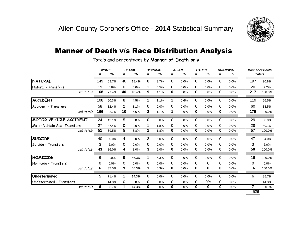

### Manner of Death v/s Race Distribution Analysis

Totals and percentages by **Manner of Death only**

|                              |     | <b>WHITE</b> |                | <b>BLACK</b> |                | <b>HISPANIC</b> |          | <b>ASIAN</b> |          | <b>OTHER</b> |          | <b>UNKNOWN</b> |     | <b>Manner of Death</b> |
|------------------------------|-----|--------------|----------------|--------------|----------------|-----------------|----------|--------------|----------|--------------|----------|----------------|-----|------------------------|
|                              | #   | %            | #              | %            | #              | $\%$            | #        | %            | #        | %            | #        | %              |     | <b>Totals</b>          |
| <b>NATURAL</b>               | 149 | 68.7%        | 40             | 18.4%        | 8              | 3.7%            | 0        | 0.0%         | $\Omega$ | 0.0%         | 0        | 0.0%           | 197 | 90.8%                  |
| Natural - Transfers          | 19  | 8.8%         | 0              | 0.0%         |                | 0.5%            | 0        | 0.0%         | 0        | 0.0%         | 0        | 0.0%           | 20  | 9.2%                   |
| sub totals                   | 168 | 77.4%        | 40             | 18.4%        | 9              | 4.1%            | 0        | 0.0%         | $\Omega$ | 0.0%         | 0        | 0.0%           | 217 | 100.0%                 |
| <b>ACCIDENT</b>              | 108 | 60.3%        | 8              | 4.5%         | $\overline{2}$ | 1.1%            | 1        | 0.6%         | $\Omega$ | 0.0%         | 0        | 0.0%           | 119 | 66.5%                  |
| Accident - Transfers         | 58  | 32.4%        | $\overline{2}$ | 1.1%         | 0              | 0.0%            | 0        | 0.0%         | 0        | 0.0%         | 0        | 0.0%           | 60  | 33.5%                  |
| sub totals                   | 166 | 92.7%        | 10             | 5.6%         | $\mathbf{2}$   | 1.1%            | 1        | 0.6%         | 0        | 0.0%         | 0        | 0.0%           | 179 | 100.0%                 |
| MOTOR VEHICLE ACCIDENT       | 24  | 42.1%        | 5              | 8.8%         | $\Omega$       | 0.0%            | $\Omega$ | 0.0%         | $\Omega$ | 0.0%         | 0        | 0.0%           | 29  | 50.9%                  |
| Motor Vehicle Acc -Transfers | 27  | 47.4%        | 0              | 0.0%         |                | 1.8%            | 0        | 0.0%         | 0        | 0.0%         | 0        | 0.0%           | 28  | 49.1%                  |
| sub totals                   | 51  | 89.5%        | 5              | 8.8%         | 1              | 1.8%            | 0        | 0.0%         | 0        | 0.0%         | 0        | 0.0%           | 57  | 100.0%                 |
| <b>SUICIDE</b>               | 40  | 80.0%        | 4              | 8.0%         | 3              | 6.0%            | $\Omega$ | 0.0%         | $\Omega$ | 0.0%         | 0        | 0.0%           | 47  | 94.0%                  |
| Suicide - Transfers          | 3   | 6.0%         | 0              | 0.0%         | 0              | 0.0%            | 0        | 0.0%         | 0        | 0.0%         | 0        | 0.0%           | 3   | 6.0%                   |
| sub totals                   | 43  | 86.0%        | 4              | 8.0%         | 3              | 6.0%            | $\bf{0}$ | 0.0%         | $\bf{0}$ | 0.0%         | 0        | 0.0%           | 50  | 100.0%                 |
| <b>HOMICIDE</b>              | 6   | 0.0%         | 9              | 56.3%        | 1              | 6.3%            | $\Omega$ | 0.0%         | $\Omega$ | 0.0%         | 0        | 0.0%           | 16  | 100.0%                 |
| lHomicide - Transfers        | 0   | 0.0%         | $\Omega$       | 0.0%         | 0              | 0.0%            | 0        | 0.0%         | 0        | 0            | 0        | 0.0%           | 0   | 0.0%                   |
| sub totals                   | 6   | 37.5%        | 9              | 56.3%        | 1              | 6.3%            | 0        | 0.0%         | $\bf{0}$ | 0            | 0        | 0.0%           | 16  | 100.0%                 |
| Undetermined                 | 5   | 71.4%        | 1              | 14.3%        | 0              | 0.0%            | $\Omega$ | 0.0%         | $\Omega$ | 0.0%         | 0        | 0.0%           | 6   | 85.7%                  |
| Undetermined - Transfers     |     | 14.3%        | 0              | 0.0%         | 0              | 0.0%            | 0        | 0.0%         | 0        | 0%           | 0        | 0.0%           | 1   | 14.3%                  |
| sub totals                   | 6   | 85.7%        | 1              | 14.3%        | 0              | 0.0%            | $\bf{0}$ | 0.0%         | 0        | 0            | $\bf{0}$ | 0.0%           | 7   | 100.0%                 |
|                              |     |              |                |              |                |                 |          |              |          |              |          |                | 526 |                        |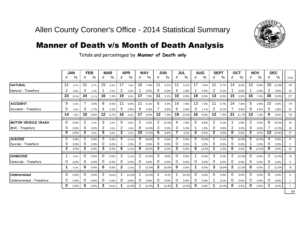

# Manner of Death v/s Month of Death Analysis

Totals and percentages by **Manner of Death only**

|                            |          | <b>JAN</b> |    | <b>FEB</b> |              | <b>MAR</b> |                | <b>APR</b> |                | <b>MAY</b> |    | JUN   |          | JUL   |          | <b>AUG</b> |                | <b>SEPT</b> |          | <b>OCT</b> |              | <b>NOV</b> |                | <b>DEC</b> |              |
|----------------------------|----------|------------|----|------------|--------------|------------|----------------|------------|----------------|------------|----|-------|----------|-------|----------|------------|----------------|-------------|----------|------------|--------------|------------|----------------|------------|--------------|
|                            | #        | $\%$       | #  | %          | #            | $\%$       | #              | %          | #              | %          | #  | %     | #        | %     | #        | %          | #              | %           | #        | %          | #            | %          | #              | %          | <b>TOTAL</b> |
| <b>NATURAL</b>             | 21       | 9.7%       | 21 | 9.7%       | 15           | 6.9%       | 17             | 7.8%       | 16             | 7.4%       | 11 | 5.1%  | 11       | 5.1%  | 17       | 7.8%       | 11             | 0.7%        | 14       | 6.5%       | 15           | 6.9%       | 28             | 12.9%      | 197          |
| Natural - Transfers        | 2        | 0.9%       | 3  | 1.4%       |              | 0.5%       | 2              | 0.9%       |                | 0.5%       |    | 0.0%  | 4        | 1.8%  |          | 0.5%       | 2              | 0.1%        |          | 0.5%       |              | 0.5%       | 2              | 0.9%       | 20           |
|                            | 23       | 10.6%      | 24 | 11.1%      | 16           | 7.4%       | 19             | 8.8%       | 17             | 7.8%       | 11 | 5.1%  | 15       | 6.9%  | 18       | 8.3%       | 13             | 6.0%        | 15       | 6.9%       | 16           | 7.4%       | 30             | 13.8%      | 217          |
| <b>ACCIDENT</b>            | 9        | 5.0%       |    | 3.9%       | 8            | 4.5%       | 11             | 0.0%       | 11             | 6.1%       | 6  | 3.4%  | 14       | 7.8%  | 13       | 7.3%       | 11             | 0.7%        | 14       | 7.8%       | 5            | 2.8%       | 10             | 5.6%       | 119          |
| Accident - Transfers       | 5        | 2.8%       | 3  | 1.7%       | 4            | 2.2%       | 5              | 2.8%       | 6              | 3.4%       |    | 3.9%  | 5        | 2.8%  | 3        | 1.7%       | 2              | 0.1%        |          | 3.9%       | 8            | 4.5%       | 5.             | 2.8%       | 60           |
|                            | 14       | 7.8%       | 10 | 5.6%       | 12           | 6.7%       | 16             | 8.9%       | 17             | 9.5%       | 13 | 7.3%  | 19       | 10.6% | 16       | 8.9%       | 13             | 7.3%        | 21       | 11.7%      | 13           | 7.3%       | 0              | 0.0%       | 179          |
| <b>MOTOR VEHICLE CRASH</b> | $\Omega$ | 0.0%       | 2  | 3.5%       | 3            | 5.3%       | 0              | 0.0%       | $\overline{2}$ | 3.5%       | 2  | 12.0% | 4        | 7.0%  | 5        | 8.8%       | $\overline{2}$ | 0.1%        |          | 1.8%       | 2            | 3.5%       | 6              | 10.5%      | 29           |
| MVC - Transfers            | 0        | 0.0%       | 0  | 0.0%       | 2            | 3.5%       | 2              | 3.5%       | 8              | 14.0%      | 3  | 5.3%  | 3        | 5.3%  |          | 1.8%       | 0              | 0.0%        | 2        | 3.5%       | 0            | 0.0%       |                | 12.3%      | 28           |
|                            | 0        | 0.0%       | 2  | 3.5%       | 5            | 8.8%       | $\mathbf{2}$   | 3.5%       | 10             | 17.5%      | 5  | 8.8%  |          | 12.3% | $\bf{0}$ | 0.0%       | $\mathbf{2}$   | 3.5%        | $\bf{0}$ | 0.0%       | $\mathbf{2}$ | 3.5%       | 13             | 22.8%      | 57           |
| <b>SUICIDE</b>             | 2        | 4.0%       | 2  | 4.0%       | 3            | 6.0%       | 5              | 10.0%      | 9              | 18.0%      | 3  | 6.0%  | 3        | 6.0%  | 5        | 10.0%      |                | 0.1%        | 5.       | 10.0%      | 5            | 10.0%      | 4              | 8.0%       | 47           |
| Suicide - Transfers        | 0        | 0.0%       | 0  | 0.0%       | 0            | 0.0%       |                | 2.0%       | 0              | 0.0%       |    | 0.0%  | 0        | 0.0%  |          | 2.0%       | 0              | 0.0%        | 0        | 0.0%       |              | 2.0%       |                | 0.0%       | 3            |
|                            | 2        | 4.0%       | 2  | 4.0%       | 3            | 6.0%       | 6              | 12.0%      | 9              | 18.0%      | 3  | 6.0%  | 3        | 6.0%  | 6        | 12.0%      |                | 2.0%        | 0        | 0.0%       | 6            | 12.0%      | 0              | 0.0%       | 50           |
| <b>HOMICIDE</b>            |          | 6.3%       | 0  | 0.0%       | $\Omega$     | 0.0%       | $\overline{2}$ | 12.5%      | $\overline{2}$ | 12.5%      | 3  | 18.8% | $\Omega$ | 0.0%  |          | 6.3%       | 3              | 0.2%        | 2        | 12.5%      | $\Omega$     | 0.0%       | $\overline{2}$ | 12.5%      | 16           |
| Homicide - Transfers       | 0        | 0.0%       | 0  | 0.0%       | 0            | 0.0%       | 0              | 0.0%       | 0              | 0.0%       | 0  | 0.0%  | 0        | 0.0%  | 0        | 0.0%       | 0              | 0.0%        | 0        | 0.0%       | 0            | 0.0%       | 0              | 0.0%       | 0            |
|                            |          | 6.3%       | 0  | 0.0%       | 0            | 0.0%       | 2              | 12.5%      | 2              | 12.5%      | 3  | 18.8% | 0        | 0.0%  |          | 6.3%       | 3              | 18.8%       | 2        | 12.5%      | 0            | 0.0%       | 2              | 12.5%      | 16           |
| Undetermined               | 0        | 0.0%       | 0  | 0.0%       | 2            | 28.6%      |                | 14.3%      |                | 14.3%      |    | 14.3% |          | 14.3% | 0        | 0.0%       | 0              | 0.0%        | 0        | 0.0%       | 0            | 0.0%       | 0              | 0.0%       | 6            |
| Undetermined - Transfers   | 0        | 0.0%       | 0  | 0.0%       | 0            | 0.0%       | 0              | 0.0%       | 0              | 0.0%       | 0  | 0.0%  | 0        | 0.0%  | 0        | 0.0%       |                | 0.1%        | 0        | 0.0%       | 0            | 0.0%       | 0              | 0.0%       |              |
|                            | 0        | 0.0%       | 0  | 0.0%       | $\mathbf{2}$ | 28.6%      |                | 14.3%      |                | 14.3%      |    | 14.3% |          | 14.3% | 0        | 0.0%       |                | 14.3%       | 0        | 0.0%       | 0            | 0.0%       |                | 0.0%       |              |
|                            |          |            |    |            |              |            |                |            |                |            |    |       |          |       |          |            |                |             |          |            |              |            |                |            | 526          |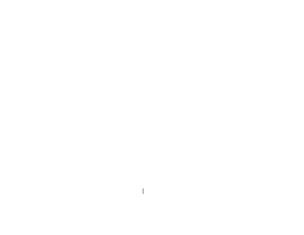$\overline{\phantom{a}}$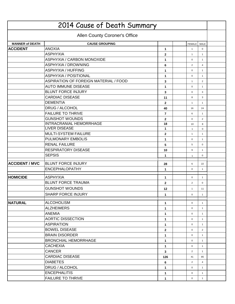|                        | 2014 Cause of Death Summary               |                |                |                |  |
|------------------------|-------------------------------------------|----------------|----------------|----------------|--|
|                        | Allen County Coroner's Office             |                |                |                |  |
| <b>MANNER of DEATH</b> | <b>CAUSE GROUPING</b>                     |                | <b>FEMALE</b>  | MALE           |  |
| <b>ACCIDENT</b>        | <b>ANOXIA</b>                             | $\mathbf{1}$   | $\mathbf{1}$   | $\mathbf 0$    |  |
|                        | <b>ASPHYXIA</b>                           | $\mathbf{2}$   | $\mathbf{1}$   | $\overline{1}$ |  |
|                        | ASPHYXIA / CARBON MONOXIDE                | 1              | $\mathsf 0$    | $\overline{1}$ |  |
|                        | <b>ASPHYXIA / DROWNING</b>                | 6              | $\overline{2}$ | $\overline{4}$ |  |
|                        | <b>ASPHYXIA / HUFFING</b>                 | $\mathbf{1}$   | $\mathbf 0$    | $\overline{1}$ |  |
|                        | <b>ASPHYXIA / POSITIONAL</b>              | 1              | $\mathsf 0$    | $\mathbf{1}$   |  |
|                        | ASPIRATION OF FOREIGN MATERIAL / FOOD     | 3              | $\mathbf{1}$   | 2              |  |
|                        | <b>AUTO IMMUNE DISEASE</b>                | 1              | $\mathbf 0$    | $\overline{1}$ |  |
|                        | <b>BLUNT FORCE INJURY</b>                 | 3              | $\mathsf 0$    | 3              |  |
|                        | <b>CARDIAC DISEASE</b>                    | 11             | 8              | 3              |  |
|                        | <b>DEMENTIA</b>                           | 2              | $\mathbf{1}$   | $\overline{1}$ |  |
|                        | <b>DRUG / ALCOHOL</b>                     | 40             | 16             | 24             |  |
|                        | <b>FAILURE TO THRIVE</b>                  | $\overline{7}$ | 6              | $\overline{1}$ |  |
|                        | <b>GUNSHOT WOUNDS</b>                     | 2              | $\mathbf 0$    | 2              |  |
|                        | INTRACRANIAL HEMORRHAGE                   | 18             | 10             | 8              |  |
|                        | <b>LIVER DISEASE</b>                      | 1              | $\mathbf{1}$   | $\mathbf{0}$   |  |
|                        | <b>MULTI-SYSTEM FAILURE</b>               | $\overline{2}$ | $\mathbf{1}$   | $\overline{1}$ |  |
|                        | PULMONARY EMBOLIS                         | $\mathbf{1}$   | $\mathbf 0$    | $\overline{1}$ |  |
|                        | <b>RENAL FAILURE</b>                      | 5              | 5              | $\mathbf 0$    |  |
|                        | <b>RESPIRATORY DISEASE</b>                | 10             | 9              | $\overline{1}$ |  |
|                        | <b>SEPSIS</b>                             | $\mathbf{1}$   | $\mathbf{1}$   | $\mathbf 0$    |  |
| <b>ACCIDENT / MVC</b>  | <b>BLUNT FORCE INJURY</b>                 | 28             | 6              | 22             |  |
|                        | <b>ENCEPHALOPATHY</b>                     | $\mathbf{1}$   | $\mathbf 0$    | $\mathbf{1}$   |  |
| <b>HOMICIDE</b>        | <b>ASPHYXIA</b>                           | $\mathbf{1}$   | $\mathsf 0$    | $\mathbf{1}$   |  |
|                        | <b>BLUNT FORCE TRAUMA</b>                 | $\mathbf{2}$   | $\overline{2}$ | $\mathbf 0$    |  |
|                        | <b>GUNSHOT WOUNDS</b>                     | 12             | $\mathbf{1}$   | 11             |  |
|                        | <b>SHARP FORCE INJURY</b>                 | 1              | $\mathbf 0$    | $\mathbf{1}$   |  |
|                        |                                           |                |                |                |  |
| <b>NATURAL</b>         | <b>ALCOHOLISM</b>                         | $\mathbf{1}$   | $\mathbf 0$    | $\mathbf{1}$   |  |
|                        | <b>ALZHEIMERS</b>                         | $\mathbf{1}$   | $\mathbf{0}$   | $\mathbf{1}$   |  |
|                        | <b>ANEMIA</b><br><b>AORTIC DISSECTION</b> | $\mathbf{1}$   | $\mathsf 0$    | $\mathbf{1}$   |  |
|                        |                                           | $\mathbf{1}$   | $\mathbf{0}$   | $\mathbf{1}$   |  |
|                        | <b>ASPIRATION</b>                         | $\mathbf{1}$   | $\mathbf 0$    | $\mathbf{1}$   |  |
|                        | <b>BOWEL DISEASE</b>                      | $\mathbf{2}$   | $\mathbf 0$    | $\overline{2}$ |  |
|                        | <b>BRAIN DISORDER</b>                     | $\mathbf{1}$   | $\mathbf{0}$   | $\mathbf{1}$   |  |
|                        | <b>BRONCHIAL HEMORRHAGE</b>               | $\mathbf{1}$   | $\mathbf{0}$   | $\mathbf{1}$   |  |
|                        | <b>CACHEXIA</b>                           | $\mathbf{1}$   | $\mathbf 0$    | $\mathbf{1}$   |  |
|                        | <b>CANCER</b>                             | 3              | $\overline{2}$ | $\mathbf{1}$   |  |
|                        | <b>CARDIAC DISEASE</b>                    | 126            | 41             | 85             |  |
|                        | <b>DIABETES</b>                           | 6              | $\overline{2}$ | $\overline{4}$ |  |
|                        | <b>DRUG / ALCOHOL</b>                     | $\mathbf{1}$   | $\mathbf 0$    | $\mathbf{1}$   |  |
|                        | <b>ENCEPHALITIS</b>                       | 1              | $\mathbf{0}$   | $\mathbf{1}$   |  |
|                        | <b>FAILURE TO THRIVE</b>                  | $\mathbf{1}$   | $\mathbf 0$    | $\mathbf{1}$   |  |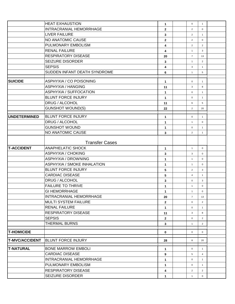|                       | <b>HEAT EXHAUSTION</b>        | $\mathbf{1}$   | $\mathsf 0$    | $\mathbf{1}$   |  |
|-----------------------|-------------------------------|----------------|----------------|----------------|--|
|                       | INTRACRANIAL HEMORRHAGE       | $\overline{2}$ | $\overline{2}$ | $\mathbf 0$    |  |
|                       | <b>LIVER FAILURE</b>          | 3              | $\overline{2}$ | $\mathbf{1}$   |  |
|                       | NO ANATOMIC CAUSE             | $\mathbf{2}$   | $\overline{2}$ | $\mathbf 0$    |  |
|                       | PULMONARY EMBOLISM            | 4              | $\overline{2}$ | $\overline{2}$ |  |
|                       | <b>RENAL FAILURE</b>          | 4              | $\mathbf{1}$   | 3              |  |
|                       | <b>RESPIRATORY DISEASE</b>    | 20             | $\overline{7}$ | 13             |  |
|                       | SEIZURE DISORDER              | 3              | $\mathbf{1}$   | $\overline{2}$ |  |
|                       | <b>SEPSIS</b>                 | 4              | 3              | $\mathbf{1}$   |  |
|                       | SUDDEN INFANT DEATH SYNDROME  | 6              | $\mathbf{1}$   | 5              |  |
|                       |                               |                |                |                |  |
| <b>SUICIDE</b>        | ASPHYXIA / CO POISONING       | $\mathbf{1}$   | $\mathsf 0$    | $\mathbf{1}$   |  |
|                       | <b>ASPHYXIA / HANGING</b>     | 11             | 3              | 8              |  |
|                       | <b>ASPHYXIA / SUFFOCATION</b> | $\mathbf{1}$   | $\mathbf{0}$   | $\mathbf{1}$   |  |
|                       | <b>BLUNT FORCE INJURY</b>     | $\mathbf{1}$   | $\mathsf 0$    | $\mathbf{1}$   |  |
|                       | DRUG / ALCOHOL                | 11             | 6              | 5              |  |
|                       | <b>GUNSHOT WOUND(S)</b>       | 22             | $\overline{2}$ | 20             |  |
| <b>UNDETERMINED</b>   | <b>BLUNT FORCE INJURY</b>     | $\mathbf{1}$   | $\mathsf 0$    | $\overline{1}$ |  |
|                       | DRUG / ALCOHOL                | $\mathbf{1}$   | $\mathbf{1}$   | $\mathbf 0$    |  |
|                       | <b>GUNSHOT WOUND</b>          | $\mathbf{1}$   | $\mathsf 0$    | $\mathbf{1}$   |  |
|                       | NO ANATOMIC CAUSE             | 3              | $\overline{2}$ | $\mathbf{1}$   |  |
|                       |                               |                |                |                |  |
|                       | <b>Transfer Cases</b>         |                |                |                |  |
| <b>T-ACCIDENT</b>     | <b>ANAPHELATIC SHOCK</b>      | $\mathbf{1}$   | $\mathbf{1}$   | $\mathbf 0$    |  |
|                       | <b>ASPHYXIA / CHOKING</b>     | 3              | 3              | $\mathbf 0$    |  |
|                       | <b>ASPHYXIA / DROWNING</b>    | $\mathbf{1}$   | $\mathbf{1}$   | $\mathbf 0$    |  |
|                       | ASPHYXIA / SMOKE INHALATION   | $\mathbf{1}$   | $\mathbf{1}$   | $\mathbf 0$    |  |
|                       | <b>BLUNT FORCE INJURY</b>     | 5              | $\overline{2}$ | $\mathbf{3}$   |  |
|                       | <b>CARDIAC DISEASE</b>        | 5              | $\overline{4}$ | $\mathbf{1}$   |  |
|                       | DRUG / ALCOHOL                | 3              | $\mathbf 0$    | 3              |  |
|                       | <b>FAILURE TO THRIVE</b>      | $\mathbf{1}$   | $\mathbf{1}$   | $\mathbf 0$    |  |
|                       | <b>GI HEMORRHAGE</b>          | $\mathbf{1}$   | $\mathbf{1}$   | $\mathbf 0$    |  |
|                       | INTRACRANIAL HEMORRHAGE       | 20             | $\overline{7}$ | 13             |  |
|                       | <b>MULTI SYSTEM FAILURE</b>   | $\mathbf{2}$   | $\mathbf{0}$   | $\overline{2}$ |  |
|                       | <b>RENAL FAILURE</b>          | 1              | $\mathbf 0$    | $\mathbf{1}$   |  |
|                       | <b>RESPIRATORY DISEASE</b>    | 11             | 3              | 8              |  |
|                       | <b>SEPSIS</b>                 | $\mathbf{2}$   | $\mathbf{0}$   | 2              |  |
|                       | THERMAL BURNS                 | 3              | $\mathbf{1}$   | $\overline{2}$ |  |
| <b>T-HOMICIDE</b>     |                               | $\mathbf{0}$   | $\mathbf 0$    | $\mathbf{0}$   |  |
|                       |                               |                |                |                |  |
| <b>T-MVC/ACCIDENT</b> | <b>BLUNT FORCE INJURY</b>     | 28             | 8              | 20             |  |
| <b>T-NATURAL</b>      | <b>BONE MARROW EMBOLI</b>     | $\mathbf{1}$   | $\mathbf{0}$   | $\mathbf{1}$   |  |
|                       | <b>CARDIAC DISEASE</b>        | 9              | 5              | $\overline{4}$ |  |
|                       | INTRACRANIAL HEMORRHAGE       | $\mathbf{1}$   | $\mathsf 0$    | $\mathbf{1}$   |  |
|                       | PULMONARY EMBOLISM            | $\mathbf{1}$   | $\mathbf{0}$   | $\mathbf{1}$   |  |
|                       | <b>RESPIRATORY DISEASE</b>    | 4              | $\overline{2}$ | $\overline{2}$ |  |
|                       | SEIZURE DISORDER              | $\mathbf{1}$   | $\mathbf{1}$   | $\mathbf 0$    |  |
|                       |                               |                |                |                |  |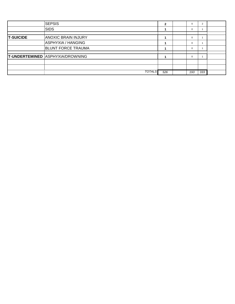|                  | SEPSIS                                  | 2   | $\Omega$    | $\overline{2}$ |  |
|------------------|-----------------------------------------|-----|-------------|----------------|--|
|                  | <b>SIDS</b>                             |     | $\mathbf 0$ |                |  |
|                  |                                         |     |             |                |  |
| <b>T-SUICIDE</b> | <b>ANOXIC BRAIN INJURY</b>              |     | $\Omega$    |                |  |
|                  | <b>ASPHYXIA / HANGING</b>               |     | $\mathbf 0$ |                |  |
|                  | <b>BLUNT FORCE TRAUMA</b>               |     | $\mathbf 0$ |                |  |
|                  |                                         |     |             |                |  |
|                  | <b>T-UNDERTEMINED ASPHYXIA/DROWNING</b> |     | $\Omega$    |                |  |
|                  |                                         |     |             |                |  |
|                  |                                         |     |             |                |  |
|                  | <b>TOTALS</b>                           | 526 | 193         | 333            |  |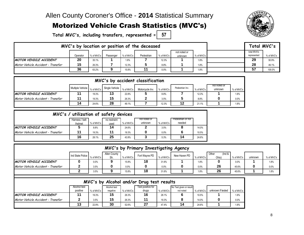#### Allen County Coroner's Office - **2014** Statistical Summary

# Motorized Vehicle Crash Statistics (MVC's)

**57 Total MVC's, including transfers, represented =**



|                                   | MVC's by location or position of the deceased |            |           |            | Total MVC's |            |                         |            |                            |            |
|-----------------------------------|-----------------------------------------------|------------|-----------|------------|-------------|------------|-------------------------|------------|----------------------------|------------|
|                                   | Operator                                      | % of MVC's | Passenger | % of MVC's | Pedestrian  | % of MVC's | not noted or<br>unknown | % of MVC's | total MVA's<br>represented | % of MVC's |
| <b>IMOTOR VEHICLE ACCIDENT</b>    | 20                                            | 35.1%      |           | 1.8%       |             | 12.3%      |                         | 1.8%       | 29                         | 50.9%      |
| Motor Vehicle Accident - Transfer | 15                                            | 26.3%      |           | 12.3%      |             | 8.8%       |                         | 1.8%       | 28                         | 49.1%      |
|                                   | 36                                            | 63.2%      |           | 15.8%      |             | 0.0%       |                         | 1.8%       | 57                         | 100.0%     |

|                                   |                  |            |                |            | MVC's by accident classification |            |                 |            |                         |            |
|-----------------------------------|------------------|------------|----------------|------------|----------------------------------|------------|-----------------|------------|-------------------------|------------|
|                                   | Multiple Vehicle | % of MVC's | Single Vehicle | % of MVC's | Motorcycle Inv.                  | % of MVC's | Pedestrian Inv. | % of MVC's | not noted or<br>unknown | % of MVC's |
| MOTOR VEHICLE ACCIDENT            |                  | 19.3%      | 13             | 22.8%      |                                  | 8.8%       |                 | 12.3%      |                         | 1.8%       |
| Motor Vehicle Accident - Transfer | 11               | 19.3%      | 15             | 26.3%      |                                  | 3.5%       |                 | 8.8%       |                         | 0.0%       |
|                                   | 14               | 24.6%      | 28             | 49.1%      |                                  | 12.3%      | 12              | 21.1%      |                         | 1.8%       |

| MVC's / utilization of safety devices                                                                                                                 |    |       |    |       |  |      |    |       |  |  |  |  |
|-------------------------------------------------------------------------------------------------------------------------------------------------------|----|-------|----|-------|--|------|----|-------|--|--|--|--|
| Pedestrian or not<br>not noted or<br>Harness / belt<br>no restraint<br>needed<br>unknown<br>% of MVC's<br>% of MVC's<br>% of MVC's<br>/helmet<br>used |    |       |    |       |  |      |    |       |  |  |  |  |
| MOTOR VEHICLE ACCIDENT                                                                                                                                |    | 8.8%  | 14 | 24.6% |  | 3.5% |    | 14.0% |  |  |  |  |
| Motor Vehicle Accident - Transfer                                                                                                                     | 11 | 19.3% |    | 19.3% |  | 0.0% |    | 10.5% |  |  |  |  |
|                                                                                                                                                       | 16 | 28.1% | 25 | 43.9% |  | 5.3% | 14 | 24.6% |  |  |  |  |

| MVC's by Primary Investigating Agency     |                                                 |            |                          |            |                            |            |                                      |            |                          |            |         |            |  |
|-------------------------------------------|-------------------------------------------------|------------|--------------------------|------------|----------------------------|------------|--------------------------------------|------------|--------------------------|------------|---------|------------|--|
|                                           | Ind State Police                                | % of MVC's | Allen County<br>Sh.      | % of MVC's | Fort Wayne PD              | % of MVC's | New Haven PD                         | % of MVC's | (Ind &<br>Other<br>Ohio) | % of MVC's | unknown | % of MVC's |  |
| MOTOR VEHICLE ACCIDENT                    | 0                                               | 0.0%       | 9                        | 15.8%      | 18                         | 31.6%      |                                      | 1.8%       | 0                        | 0.0%       |         | 1.8%       |  |
| 2<br>Motor Vehicle Accident - Transfer    |                                                 |            | 0<br>3.5%                |            | 0                          | 0.0%       | 0                                    | 0.0%       | 26                       | 45.6%      | 0       | 0.0%       |  |
|                                           | 18<br>26<br>9<br>3.5%<br>15.8%<br>31.6%<br>1.8% |            |                          |            |                            |            | 45.6%                                |            | 1.8%                     |            |         |            |  |
| MVC's by Alcohol and/or Drug test results |                                                 |            |                          |            |                            |            |                                      |            |                          |            |         |            |  |
|                                           | Alcohol test<br>positive                        | % of MVC's | Alcohol test<br>negative | % of MVC's | Test positive for<br>drugs | % of MVC's | No Test given or result<br>not noted | % of MVC's | unknown if tested        | % of MVC's |         |            |  |
| MOTOR VEHICLE ACCIDENT                    | 11                                              | 19.3%      | 15                       | 26.3%      | 16                         | 28.1%      | 6                                    | 10.5%      |                          | 1.8%       |         |            |  |
| Motor Vehicle Accident - Transfer         | 2                                               | 3.5%       | 15                       | 26.3%      | 11                         | 19.3%      | 8                                    | 14.0%      | 0                        | 0.0%       |         |            |  |

**13** 22.8% **30** 52.6% **27** 47.4% **14** 24.6% **1** 1.8%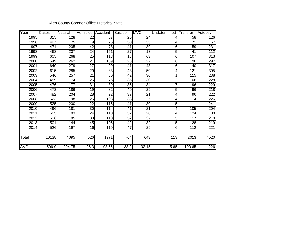#### Allen County Coroner Office Historical Stats

| Year       | Cases | Natural | Homicide        | Accident        | Suicide         | <b>MVC</b>      | Undetermined | Transfer | Autopsy |
|------------|-------|---------|-----------------|-----------------|-----------------|-----------------|--------------|----------|---------|
| 1995       | 315   | 128     | 22              | 57              | 25              | 24              |              | 58       | 126     |
| 1996       | 427   | 175     | 19              | $\overline{75}$ | 50              | 33              | 4            | 71       | 167     |
| 1997       | 471   | 205     | 42              | 78              | 41              | 39              | 6            | 59       | 231     |
| 1998       | 468   | 207     | $\overline{24}$ | 151             | $\overline{27}$ | 13              | 5            | 41       | 112     |
| 1999       | 605   | 268     | $\overline{25}$ | 118             | 18              | 63              | 6            | 107      | 313     |
| 2000       | 549   | 262     | $\overline{21}$ | 109             | 28              | $\overline{27}$ | 6            | 96       | 297     |
| 2001       | 640   | 279     | 27              | 99              | 41              | 48              | 6            | 140      | 317     |
| 2002       | 615   | 285     | 29              | 83              | 43              | 50              | 4            | 121      | 305     |
| 2003       | 546   | 257     | 21              | 80              | 42              | 30              |              | 115      | 238     |
| 2004       | 459   | 174     | 25              | 76              | 35              | $30$            | 12           | 106      | 228     |
| 2005       | 476   | 177     | 31              | 89              | 35              | 34              |              | 96       | 229     |
| 2006       | 473   | 186     | 19              | 82              | 49              | 29              | 5            | 96       | 218     |
| 2007       | 482   | 204     | 28              | 92              | 37              | 21              | 4            | 96       | 222     |
| 2008       | 523   | 198     | 26              | 108             | 38              | 25              | 14           | 114      | 226     |
| 2009       | 525   | 200     | 22              | 116             | 41              | 30              | 5            | 111      | 241     |
| 2010       | 496   | 181     | 30              | 114             | 41              | 21              | 4            | 105      | 204     |
| 2011       | 505   | 183     | 24              | 110             | 32              | 28              | 4            | 124      | 188     |
| 2012       | 536   | 185     | 30 <sup>1</sup> | 110             | 52              | $\overline{37}$ | 5            | 117      | 218     |
| 2013       | 501   | 144     | 45              | 105             | 42              | 32              | 5            | 128      | 219     |
| 2014       | 526   | 197     | 16              | 119             | 47              | 29              | 6            | 112      | 221     |
|            |       |         |                 |                 |                 |                 |              |          |         |
| Total      | 10138 | 4095    | 526             | 1971            | 764             | 643             | 113          | 2013     | 4520    |
|            |       |         |                 |                 |                 |                 |              |          |         |
| <b>AVG</b> | 506.9 | 204.75  | 26.3            | 98.55           | 38.2            | 32.15           | 5.65         | 100.65   | 226     |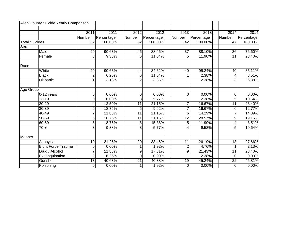|           | Allen County Suicide Yearly Comparison |                 |            |                 |            |                 |            |                 |                     |
|-----------|----------------------------------------|-----------------|------------|-----------------|------------|-----------------|------------|-----------------|---------------------|
|           |                                        |                 |            |                 |            |                 |            |                 |                     |
|           |                                        | 2011            | 2011       | 2012            | 2012       | 2013            | 2013       | 2014            | 2014                |
|           |                                        | Number          | Percentage | Number          | Percentage | Number          | Percentage | Number          | Percentage          |
|           | <b>Total Suicides</b>                  |                 | 100.00%    | 52              | 100.00%    | 42              | 100.00%    | 47              | 100.00%             |
| Sex       |                                        |                 |            |                 |            |                 |            |                 |                     |
|           | Male                                   | 29              | 90.63%     | 46              | 88.46%     | 37              | 88.10%     | 36              | 76.60%              |
|           | Female                                 | 3               | 9.38%      | 6               | 11.54%     | 5               | 11.90%     | 11              | 23.40%              |
| Race      |                                        |                 |            |                 |            |                 |            |                 |                     |
|           | White                                  | 29              | 90.63%     | 44              | 84.62%     | 40              | 95.24%     | 40              | 85.11%              |
|           | <b>Black</b>                           | $\overline{c}$  | 6.25%      | 6               | 11.54%     | $\mathbf{1}$    | 2.38%      | 4               | 8.51%               |
|           | Hispanic                               |                 | 3.13%      | $\overline{2}$  | 3.85%      | $\mathbf{1}$    | 2.38%      | 3               | 6.38%               |
| Age Group |                                        |                 |            |                 |            |                 |            |                 |                     |
|           | $\overline{0}$ -12 years               | 0               | 0.00%      | 0               | 0.00%      | $\mathbf 0$     | 0.00%      | 0               | 0.00%               |
|           | $13 - 19$                              | 0               | 0.00%      | 3               | 5.77%      | 1               | 2.38%      | 5               | 10.64%              |
|           | 20-29                                  | 4               | 12.50%     | 11              | 21.15%     | $\overline{7}$  | 16.67%     | 11              | 23.40%              |
|           | 30-39                                  | 6               | 18.75%     | 5               | 9.62%      | $\overline{7}$  | 16.67%     | 6               | 12.77%              |
|           | 40-49                                  | $\overline{7}$  | 21.88%     | 11              | 21.15%     | $6\phantom{1}6$ | 14.29%     |                 | 14.89%              |
|           | 50-59                                  | 6               | 18.75%     | 11              | 21.15%     | 12              | 28.57%     | 9               | 19.15%              |
|           | 60-69                                  | 6               | 18.75%     | 8               | 15.38%     | 5               | 11.90%     | 4               | 8.51%               |
|           | $70 +$                                 | 3               | 9.38%      | 3               | 5.77%      | $\overline{4}$  | 9.52%      | 5               | 10.64%              |
| Manner    |                                        |                 |            |                 |            |                 |            |                 |                     |
|           | Asphyxia                               | 10              | 31.25%     | 20              | 38.46%     | 11              | 26.19%     | 13              | 27.66%              |
|           | <b>Blunt Force Trauma</b>              | 0               | 0.00%      |                 | 1.92%      | $\overline{2}$  | 4.76%      |                 | 2.13%               |
|           | Drug / Alcohol                         | 7               | 21.88%     | 9               | 17.31%     | $9\,$           | 21.43%     | 11              | 23.40%              |
|           | Exsanguination                         | $\overline{2}$  | 6.25%      | 0               | 0.00%      | 1               | 2.38%      | 0               | 0.00%               |
|           | Gunshot                                | $\overline{13}$ | 40.63%     | $\overline{21}$ | 40.38%     | 19              | 45.24%     | $\overline{22}$ | 46.81%              |
|           | Poisoning                              | 0               | 0.00%      |                 | 1.92%      | $\mathbf 0$     | 0.00%      | $\mathbf 0$     | $\overline{0.00\%}$ |